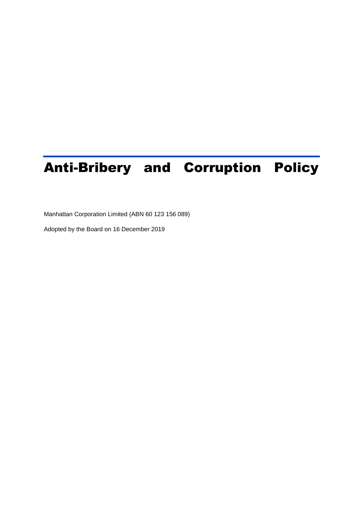# Anti-Bribery and Corruption Policy

Manhattan Corporation Limited (ABN 60 123 156 089)

Adopted by the Board on 16 December 2019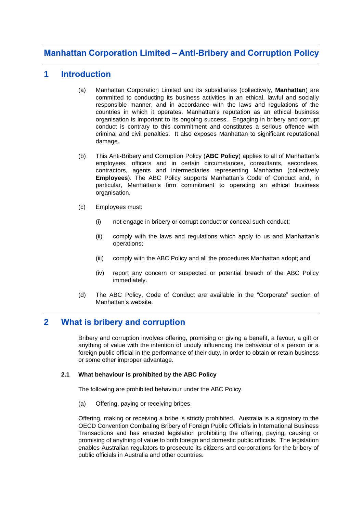## **Manhattan Corporation Limited – Anti-Bribery and Corruption Policy**

## **1 Introduction**

- (a) Manhattan Corporation Limited and its subsidiaries (collectively, **Manhattan**) are committed to conducting its business activities in an ethical, lawful and socially responsible manner, and in accordance with the laws and regulations of the countries in which it operates. Manhattan's reputation as an ethical business organisation is important to its ongoing success. Engaging in bribery and corrupt conduct is contrary to this commitment and constitutes a serious offence with criminal and civil penalties. It also exposes Manhattan to significant reputational damage.
- (b) This Anti-Bribery and Corruption Policy (**ABC Policy**) applies to all of Manhattan's employees, officers and in certain circumstances, consultants, secondees, contractors, agents and intermediaries representing Manhattan (collectively **Employees**). The ABC Policy supports Manhattan's Code of Conduct and, in particular, Manhattan's firm commitment to operating an ethical business organisation.
- (c) Employees must:
	- (i) not engage in bribery or corrupt conduct or conceal such conduct;
	- (ii) comply with the laws and regulations which apply to us and Manhattan's operations;
	- (iii) comply with the ABC Policy and all the procedures Manhattan adopt; and
	- (iv) report any concern or suspected or potential breach of the ABC Policy immediately.
- (d) The ABC Policy, Code of Conduct are available in the "Corporate" section of Manhattan's website.

## **2 What is bribery and corruption**

Bribery and corruption involves offering, promising or giving a benefit, a favour, a gift or anything of value with the intention of unduly influencing the behaviour of a person or a foreign public official in the performance of their duty, in order to obtain or retain business or some other improper advantage.

#### **2.1 What behaviour is prohibited by the ABC Policy**

The following are prohibited behaviour under the ABC Policy.

(a) Offering, paying or receiving bribes

Offering, making or receiving a bribe is strictly prohibited. Australia is a signatory to the OECD Convention Combating Bribery of Foreign Public Officials in International Business Transactions and has enacted legislation prohibiting the offering, paying, causing or promising of anything of value to both foreign and domestic public officials. The legislation enables Australian regulators to prosecute its citizens and corporations for the bribery of public officials in Australia and other countries.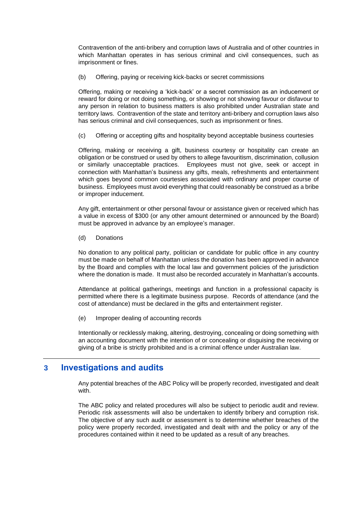Contravention of the anti-bribery and corruption laws of Australia and of other countries in which Manhattan operates in has serious criminal and civil consequences, such as imprisonment or fines.

(b) Offering, paying or receiving kick-backs or secret commissions

Offering, making or receiving a 'kick-back' or a secret commission as an inducement or reward for doing or not doing something, or showing or not showing favour or disfavour to any person in relation to business matters is also prohibited under Australian state and territory laws. Contravention of the state and territory anti-bribery and corruption laws also has serious criminal and civil consequences, such as imprisonment or fines.

(c) Offering or accepting gifts and hospitality beyond acceptable business courtesies

Offering, making or receiving a gift, business courtesy or hospitality can create an obligation or be construed or used by others to allege favouritism, discrimination, collusion or similarly unacceptable practices. Employees must not give, seek or accept in connection with Manhattan's business any gifts, meals, refreshments and entertainment which goes beyond common courtesies associated with ordinary and proper course of business. Employees must avoid everything that could reasonably be construed as a bribe or improper inducement.

Any gift, entertainment or other personal favour or assistance given or received which has a value in excess of \$300 (or any other amount determined or announced by the Board) must be approved in advance by an employee's manager.

(d) Donations

No donation to any political party, politician or candidate for public office in any country must be made on behalf of Manhattan unless the donation has been approved in advance by the Board and complies with the local law and government policies of the jurisdiction where the donation is made. It must also be recorded accurately in Manhattan's accounts.

Attendance at political gatherings, meetings and function in a professional capacity is permitted where there is a legitimate business purpose. Records of attendance (and the cost of attendance) must be declared in the gifts and entertainment register.

(e) Improper dealing of accounting records

Intentionally or recklessly making, altering, destroying, concealing or doing something with an accounting document with the intention of or concealing or disguising the receiving or giving of a bribe is strictly prohibited and is a criminal offence under Australian law.

## **3 Investigations and audits**

Any potential breaches of the ABC Policy will be properly recorded, investigated and dealt with.

The ABC policy and related procedures will also be subject to periodic audit and review. Periodic risk assessments will also be undertaken to identify bribery and corruption risk. The objective of any such audit or assessment is to determine whether breaches of the policy were properly recorded, investigated and dealt with and the policy or any of the procedures contained within it need to be updated as a result of any breaches.